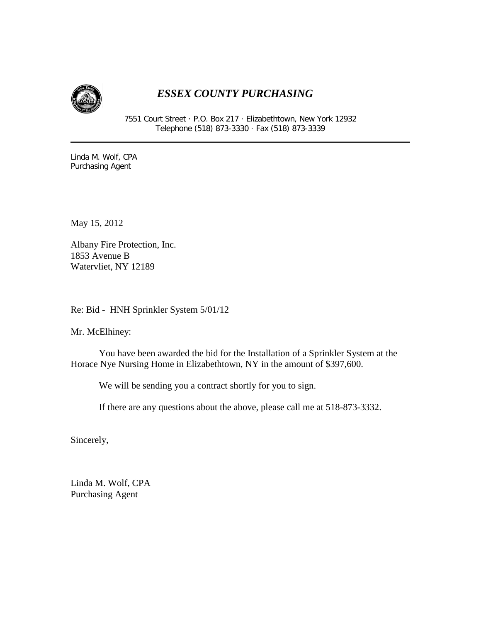

## *ESSEX COUNTY PURCHASING*

7551 Court Street · P.O. Box 217 · Elizabethtown, New York 12932 Telephone (518) 873-3330 · Fax (518) 873-3339

Linda M. Wolf, CPA Purchasing Agent

May 15, 2012

Albany Fire Protection, Inc. 1853 Avenue B Watervliet, NY 12189

Re: Bid - HNH Sprinkler System 5/01/12

Mr. McElhiney:

You have been awarded the bid for the Installation of a Sprinkler System at the Horace Nye Nursing Home in Elizabethtown, NY in the amount of \$397,600.

We will be sending you a contract shortly for you to sign.

If there are any questions about the above, please call me at 518-873-3332.

Sincerely,

Linda M. Wolf, CPA Purchasing Agent